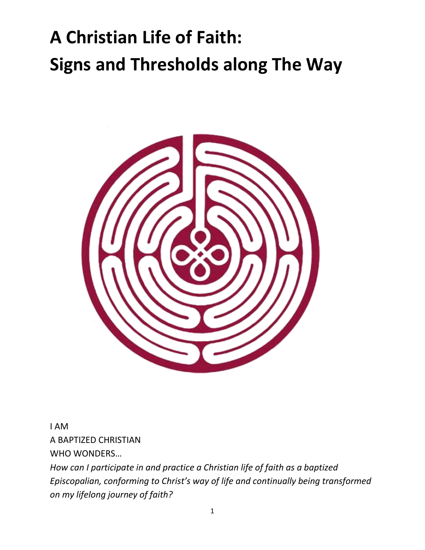# **A Christian Life of Faith: Signs and Thresholds along The Way**



I AM A BAPTIZED CHRISTIAN WHO WONDERS…

*How can I participate in and practice a Christian life of faith as a baptized Episcopalian, conforming to Christ's way of life and continually being transformed on my lifelong journey of faith?*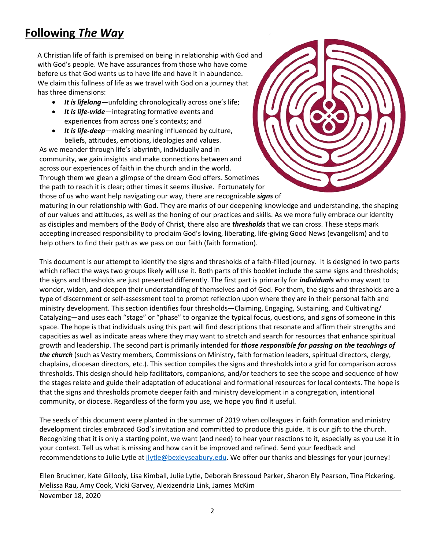### **Following** *The Way*

A Christian life of faith is premised on being in relationship with God and with God's people. We have assurances from those who have come before us that God wants us to have life and have it in abundance. We claim this fullness of life as we travel with God on a journey that has three dimensions:

- *It is lifelong*—unfolding chronologically across one's life;
- *It is life-wide*—integrating formative events and experiences from across one's contexts; and
- *It is life-deep*—making meaning influenced by culture, beliefs, attitudes, emotions, ideologies and values.

As we meander through life's labyrinth, individually and in community, we gain insights and make connections between and across our experiences of faith in the church and in the world. Through them we glean a glimpse of the dream God offers. Sometimes the path to reach it is clear; other times it seems illusive. Fortunately for those of us who want help navigating our way, there are recognizable *signs* of



maturing in our relationship with God. They are marks of our deepening knowledge and understanding, the shaping of our values and attitudes, as well as the honing of our practices and skills. As we more fully embrace our identity as disciples and members of the Body of Christ, there also are *thresholds* that we can cross. These steps mark accepting increased responsibility to proclaim God's loving, liberating, life-giving Good News (evangelism) and to help others to find their path as we pass on our faith (faith formation).

This document is our attempt to identify the signs and thresholds of a faith-filled journey. It is designed in two parts which reflect the ways two groups likely will use it. Both parts of this booklet include the same signs and thresholds; the signs and thresholds are just presented differently. The first part is primarily for *individuals* who may want to wonder, widen, and deepen their understanding of themselves and of God. For them, the signs and thresholds are a type of discernment or self-assessment tool to prompt reflection upon where they are in their personal faith and ministry development. This section identifies four thresholds—Claiming, Engaging, Sustaining, and Cultivating/ Catalyzing—and uses each "stage" or "phase" to organize the typical focus, questions, and signs of someone in this space. The hope is that individuals using this part will find descriptions that resonate and affirm their strengths and capacities as well as indicate areas where they may want to stretch and search for resources that enhance spiritual growth and leadership. The second part is primarily intended for *those responsible for passing on the teachings of the church* (such as Vestry members, Commissions on Ministry, faith formation leaders, spiritual directors, clergy, chaplains, diocesan directors, etc.). This section compiles the signs and thresholds into a grid for comparison across thresholds. This design should help facilitators, companions, and/or teachers to see the scope and sequence of how the stages relate and guide their adaptation of educational and formational resources for local contexts. The hope is that the signs and thresholds promote deeper faith and ministry development in a congregation, intentional community, or diocese. Regardless of the form you use, we hope you find it useful.

The seeds of this document were planted in the summer of 2019 when colleagues in faith formation and ministry development circles embraced God's invitation and committed to produce this guide. It is our gift to the church. Recognizing that it is only a starting point, we want (and need) to hear your reactions to it, especially as you use it in your context. Tell us what is missing and how can it be improved and refined. Send your feedback and recommendations to Julie Lytle at *jlytle@bexleyseabury.edu*. We offer our thanks and blessings for your journey!

Ellen Bruckner, Kate Gillooly, Lisa Kimball, Julie Lytle, Deborah Bressoud Parker, Sharon Ely Pearson, Tina Pickering, Melissa Rau, Amy Cook, Vicki Garvey, Alexizendria Link, James McKim

November 18, 2020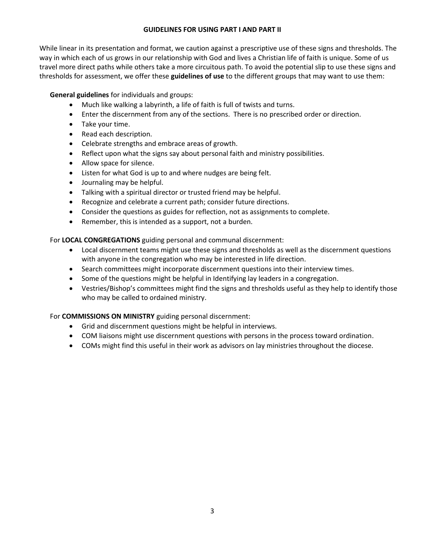#### **GUIDELINES FOR USING PART I AND PART II**

While linear in its presentation and format, we caution against a prescriptive use of these signs and thresholds. The way in which each of us grows in our relationship with God and lives a Christian life of faith is unique. Some of us travel more direct paths while others take a more circuitous path. To avoid the potential slip to use these signs and thresholds for assessment, we offer these **guidelines of use** to the different groups that may want to use them:

**General guidelines** for individuals and groups:

- Much like walking a labyrinth, a life of faith is full of twists and turns.
- Enter the discernment from any of the sections. There is no prescribed order or direction.
- Take your time.
- Read each description.
- Celebrate strengths and embrace areas of growth.
- Reflect upon what the signs say about personal faith and ministry possibilities.
- Allow space for silence.
- Listen for what God is up to and where nudges are being felt.
- Journaling may be helpful.
- Talking with a spiritual director or trusted friend may be helpful.
- Recognize and celebrate a current path; consider future directions.
- Consider the questions as guides for reflection, not as assignments to complete.
- Remember, this is intended as a support, not a burden.

For **LOCAL CONGREGATIONS** guiding personal and communal discernment:

- Local discernment teams might use these signs and thresholds as well as the discernment questions with anyone in the congregation who may be interested in life direction.
- Search committees might incorporate discernment questions into their interview times.
- Some of the questions might be helpful in Identifying lay leaders in a congregation.
- Vestries/Bishop's committees might find the signs and thresholds useful as they help to identify those who may be called to ordained ministry.

For **COMMISSIONS ON MINISTRY** guiding personal discernment:

- Grid and discernment questions might be helpful in interviews.
- COM liaisons might use discernment questions with persons in the process toward ordination.
- COMs might find this useful in their work as advisors on lay ministries throughout the diocese.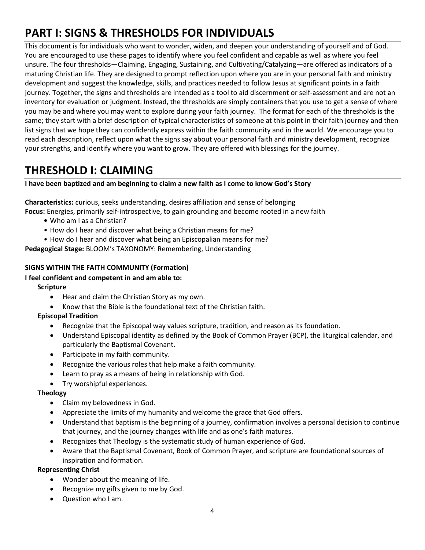## **PART I: SIGNS & THRESHOLDS FOR INDIVIDUALS**

This document is for individuals who want to wonder, widen, and deepen your understanding of yourself and of God. You are encouraged to use these pages to identify where you feel confident and capable as well as where you feel unsure. The four thresholds—Claiming, Engaging, Sustaining, and Cultivating/Catalyzing—are offered as indicators of a maturing Christian life. They are designed to prompt reflection upon where you are in your personal faith and ministry development and suggest the knowledge, skills, and practices needed to follow Jesus at significant points in a faith journey. Together, the signs and thresholds are intended as a tool to aid discernment or self-assessment and are not an inventory for evaluation or judgment. Instead, the thresholds are simply containers that you use to get a sense of where you may be and where you may want to explore during your faith journey. The format for each of the thresholds is the same; they start with a brief description of typical characteristics of someone at this point in their faith journey and then list signs that we hope they can confidently express within the faith community and in the world. We encourage you to read each description, reflect upon what the signs say about your personal faith and ministry development, recognize your strengths, and identify where you want to grow. They are offered with blessings for the journey.

### **THRESHOLD I: CLAIMING**

**I have been baptized and am beginning to claim a new faith as I come to know God's Story**

**Characteristics:** curious, seeks understanding, desires affiliation and sense of belonging

**Focus:** Energies, primarily self-introspective, to gain grounding and become rooted in a new faith

- **•** Who am I as a Christian?
- How do I hear and discover what being a Christian means for me?
- How do I hear and discover what being an Episcopalian means for me?

**Pedagogical Stage:** BLOOM's TAXONOMY: Remembering, Understanding

#### **SIGNS WITHIN THE FAITH COMMUNITY (Formation)**

#### **I feel confident and competent in and am able to:**

#### **Scripture**

- Hear and claim the Christian Story as my own.
- Know that the Bible is the foundational text of the Christian faith.

#### **Episcopal Tradition**

- Recognize that the Episcopal way values scripture, tradition, and reason as its foundation.
- Understand Episcopal identity as defined by the Book of Common Prayer (BCP), the liturgical calendar, and particularly the Baptismal Covenant.
- Participate in my faith community.
- Recognize the various roles that help make a faith community.
- Learn to pray as a means of being in relationship with God.
- Try worshipful experiences.

#### **Theology**

- Claim my belovedness in God.
- Appreciate the limits of my humanity and welcome the grace that God offers.
- Understand that baptism is the beginning of a journey, confirmation involves a personal decision to continue that journey, and the journey changes with life and as one's faith matures.
- Recognizes that Theology is the systematic study of human experience of God.
- Aware that the Baptismal Covenant, Book of Common Prayer, and scripture are foundational sources of inspiration and formation.

#### **Representing Christ**

- Wonder about the meaning of life.
- Recognize my gifts given to me by God.
- Question who I am.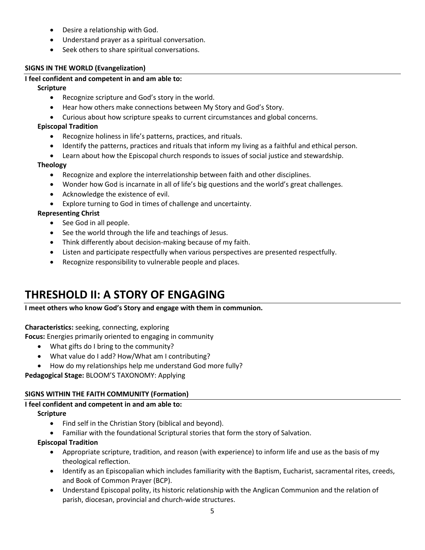- Desire a relationship with God.
- Understand prayer as a spiritual conversation.
- Seek others to share spiritual conversations.

#### **SIGNS IN THE WORLD (Evangelization)**

#### **I feel confident and competent in and am able to:**

#### **Scripture**

- Recognize scripture and God's story in the world.
- Hear how others make connections between My Story and God's Story.
- Curious about how scripture speaks to current circumstances and global concerns.

#### **Episcopal Tradition**

- Recognize holiness in life's patterns, practices, and rituals.
- Identify the patterns, practices and rituals that inform my living as a faithful and ethical person.
- Learn about how the Episcopal church responds to issues of social justice and stewardship.

#### **Theology**

- Recognize and explore the interrelationship between faith and other disciplines.
- Wonder how God is incarnate in all of life's big questions and the world's great challenges.
- Acknowledge the existence of evil.
- Explore turning to God in times of challenge and uncertainty.

#### **Representing Christ**

- See God in all people.
- See the world through the life and teachings of Jesus.
- Think differently about decision-making because of my faith.
- Listen and participate respectfully when various perspectives are presented respectfully.
- Recognize responsibility to vulnerable people and places.

### **THRESHOLD II: A STORY OF ENGAGING**

#### **I meet others who know God's Story and engage with them in communion.**

#### **Characteristics:** seeking, connecting, exploring

**Focus:** Energies primarily oriented to engaging in community

- What gifts do I bring to the community?
- What value do I add? How/What am I contributing?
- How do my relationships help me understand God more fully?

**Pedagogical Stage:** BLOOM'S TAXONOMY: Applying

#### **SIGNS WITHIN THE FAITH COMMUNITY (Formation)**

#### **I feel confident and competent in and am able to:**

#### **Scripture**

- Find self in the Christian Story (biblical and beyond).
- Familiar with the foundational Scriptural stories that form the story of Salvation.

#### **Episcopal Tradition**

- Appropriate scripture, tradition, and reason (with experience) to inform life and use as the basis of my theological reflection.
- Identify as an Episcopalian which includes familiarity with the Baptism, Eucharist, sacramental rites, creeds, and Book of Common Prayer (BCP).
- Understand Episcopal polity, its historic relationship with the Anglican Communion and the relation of parish, diocesan, provincial and church-wide structures.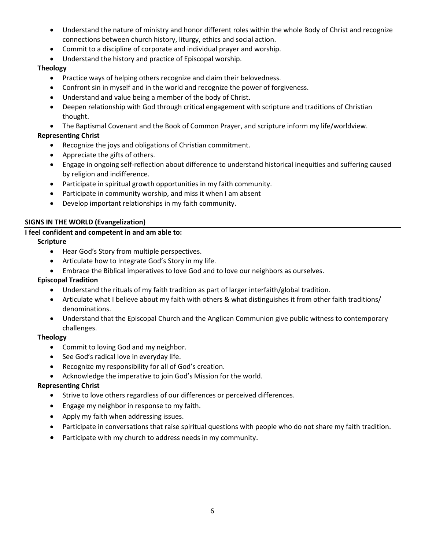- Understand the nature of ministry and honor different roles within the whole Body of Christ and recognize connections between church history, liturgy, ethics and social action.
- Commit to a discipline of corporate and individual prayer and worship.
- Understand the history and practice of Episcopal worship.

#### **Theology**

- Practice ways of helping others recognize and claim their belovedness.
- Confront sin in myself and in the world and recognize the power of forgiveness.
- Understand and value being a member of the body of Christ.
- Deepen relationship with God through critical engagement with scripture and traditions of Christian thought.
- The Baptismal Covenant and the Book of Common Prayer, and scripture inform my life/worldview.

#### **Representing Christ**

- Recognize the joys and obligations of Christian commitment.
- Appreciate the gifts of others.
- Engage in ongoing self-reflection about difference to understand historical inequities and suffering caused by religion and indifference.
- Participate in spiritual growth opportunities in my faith community.
- Participate in community worship, and miss it when I am absent
- Develop important relationships in my faith community.

#### **SIGNS IN THE WORLD (Evangelization)**

#### **I feel confident and competent in and am able to:**

#### **Scripture**

- Hear God's Story from multiple perspectives.
- Articulate how to Integrate God's Story in my life.
- Embrace the Biblical imperatives to love God and to love our neighbors as ourselves.

#### **Episcopal Tradition**

- Understand the rituals of my faith tradition as part of larger interfaith/global tradition.
- Articulate what I believe about my faith with others & what distinguishes it from other faith traditions/ denominations.
- Understand that the Episcopal Church and the Anglican Communion give public witness to contemporary challenges.

#### **Theology**

- Commit to loving God and my neighbor.
- See God's radical love in everyday life.
- Recognize my responsibility for all of God's creation.
- Acknowledge the imperative to join God's Mission for the world.

#### **Representing Christ**

- Strive to love others regardless of our differences or perceived differences.
- **•** Engage my neighbor in response to my faith.
- Apply my faith when addressing issues.
- Participate in conversations that raise spiritual questions with people who do not share my faith tradition.
- Participate with my church to address needs in my community.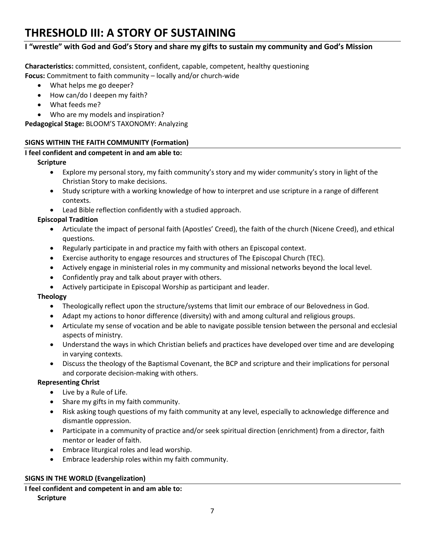### **THRESHOLD III: A STORY OF SUSTAINING**

#### **I "wrestle" with God and God's Story and share my gifts to sustain my community and God's Mission**

**Characteristics:** committed, consistent, confident, capable, competent, healthy questioning **Focus:** Commitment to faith community – locally and/or church-wide

- What helps me go deeper?
- How can/do I deepen my faith?
- What feeds me?
- Who are my models and inspiration?

**Pedagogical Stage:** BLOOM'S TAXONOMY: Analyzing

#### **SIGNS WITHIN THE FAITH COMMUNITY (Formation)**

#### **I feel confident and competent in and am able to:**

#### **Scripture**

- Explore my personal story, my faith community's story and my wider community's story in light of the Christian Story to make decisions.
- Study scripture with a working knowledge of how to interpret and use scripture in a range of different contexts.
- Lead Bible reflection confidently with a studied approach.

#### **Episcopal Tradition**

- Articulate the impact of personal faith (Apostles' Creed), the faith of the church (Nicene Creed), and ethical questions.
- Regularly participate in and practice my faith with others an Episcopal context.
- Exercise authority to engage resources and structures of The Episcopal Church (TEC).
- Actively engage in ministerial roles in my community and missional networks beyond the local level.
- Confidently pray and talk about prayer with others.
- Actively participate in Episcopal Worship as participant and leader.

#### **Theology**

- Theologically reflect upon the structure/systems that limit our embrace of our Belovedness in God.
- Adapt my actions to honor difference (diversity) with and among cultural and religious groups.
- Articulate my sense of vocation and be able to navigate possible tension between the personal and ecclesial aspects of ministry.
- Understand the ways in which Christian beliefs and practices have developed over time and are developing in varying contexts.
- Discuss the theology of the Baptismal Covenant, the BCP and scripture and their implications for personal and corporate decision-making with others.

#### **Representing Christ**

- Live by a Rule of Life.
- Share my gifts in my faith community.
- Risk asking tough questions of my faith community at any level, especially to acknowledge difference and dismantle oppression.
- Participate in a community of practice and/or seek spiritual direction (enrichment) from a director, faith mentor or leader of faith.
- Embrace liturgical roles and lead worship.
- Embrace leadership roles within my faith community.

#### **SIGNS IN THE WORLD (Evangelization)**

#### **I feel confident and competent in and am able to: Scripture**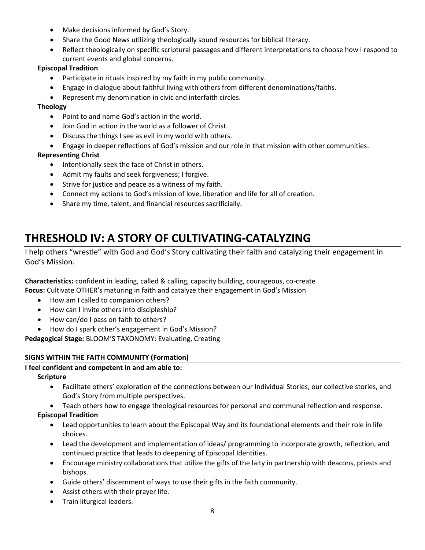- Make decisions informed by God's Story.
- Share the Good News utilizing theologically sound resources for biblical literacy.
- Reflect theologically on specific scriptural passages and different interpretations to choose how I respond to current events and global concerns.

#### **Episcopal Tradition**

- Participate in rituals inspired by my faith in my public community.
- Engage in dialogue about faithful living with others from different denominations/faiths.
- Represent my denomination in civic and interfaith circles.

#### **Theology**

- Point to and name God's action in the world.
- Join God in action in the world as a follower of Christ.
- Discuss the things I see as evil in my world with others.
- Engage in deeper reflections of God's mission and our role in that mission with other communities.

#### **Representing Christ**

- Intentionally seek the face of Christ in others.
- Admit my faults and seek forgiveness; I forgive.
- Strive for justice and peace as a witness of my faith.
- Connect my actions to God's mission of love, liberation and life for all of creation.
- Share my time, talent, and financial resources sacrificially.

### **THRESHOLD IV: A STORY OF CULTIVATING-CATALYZING**

I help others "wrestle" with God and God's Story cultivating their faith and catalyzing their engagement in God's Mission.

**Characteristics:** confident in leading, called & calling, capacity building, courageous, co-create **Focus:** Cultivate OTHER's maturing in faith and catalyze their engagement in God's Mission

- How am I called to companion others?
- How can I invite others into discipleship?
- How can/do I pass on faith to others?
- How do I spark other's engagement in God's Mission?

**Pedagogical Stage:** BLOOM'S TAXONOMY: Evaluating, Creating

#### **SIGNS WITHIN THE FAITH COMMUNITY (Formation)**

#### **I feel confident and competent in and am able to:**

#### **Scripture**

- Facilitate others' exploration of the connections between our Individual Stories, our collective stories, and God's Story from multiple perspectives.
- Teach others how to engage theological resources for personal and communal reflection and response.

#### **Episcopal Tradition**

- Lead opportunities to learn about the Episcopal Way and its foundational elements and their role in life choices.
- Lead the development and implementation of ideas/ programming to incorporate growth, reflection, and continued practice that leads to deepening of Episcopal Identities.
- Encourage ministry collaborations that utilize the gifts of the laity in partnership with deacons, priests and bishops.
- Guide others' discernment of ways to use their gifts in the faith community.
- Assist others with their prayer life.
- **•** Train liturgical leaders.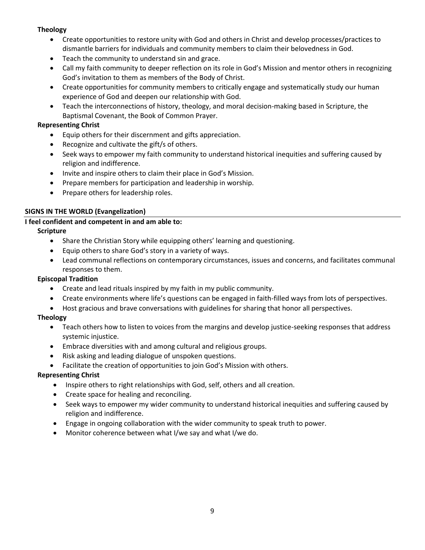#### **Theology**

- Create opportunities to restore unity with God and others in Christ and develop processes/practices to dismantle barriers for individuals and community members to claim their belovedness in God.
- Teach the community to understand sin and grace.
- Call my faith community to deeper reflection on its role in God's Mission and mentor others in recognizing God's invitation to them as members of the Body of Christ.
- Create opportunities for community members to critically engage and systematically study our human experience of God and deepen our relationship with God.
- Teach the interconnections of history, theology, and moral decision-making based in Scripture, the Baptismal Covenant, the Book of Common Prayer.

#### **Representing Christ**

- Equip others for their discernment and gifts appreciation.
- Recognize and cultivate the gift/s of others.
- Seek ways to empower my faith community to understand historical inequities and suffering caused by religion and indifference.
- Invite and inspire others to claim their place in God's Mission.
- Prepare members for participation and leadership in worship.
- Prepare others for leadership roles.

#### **SIGNS IN THE WORLD (Evangelization)**

#### **I feel confident and competent in and am able to:**

#### **Scripture**

- Share the Christian Story while equipping others' learning and questioning.
- Equip others to share God's story in a variety of ways.
- Lead communal reflections on contemporary circumstances, issues and concerns, and facilitates communal responses to them.

#### **Episcopal Tradition**

- Create and lead rituals inspired by my faith in my public community.
- Create environments where life's questions can be engaged in faith-filled ways from lots of perspectives.
- Host gracious and brave conversations with guidelines for sharing that honor all perspectives.

#### **Theology**

- Teach others how to listen to voices from the margins and develop justice-seeking responses that address systemic injustice.
- Embrace diversities with and among cultural and religious groups.
- Risk asking and leading dialogue of unspoken questions.
- Facilitate the creation of opportunities to join God's Mission with others.

#### **Representing Christ**

- Inspire others to right relationships with God, self, others and all creation.
- Create space for healing and reconciling.
- Seek ways to empower my wider community to understand historical inequities and suffering caused by religion and indifference.
- Engage in ongoing collaboration with the wider community to speak truth to power.
- Monitor coherence between what I/we say and what I/we do.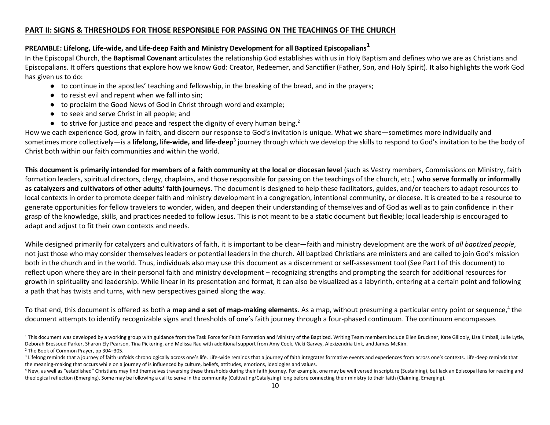#### **PART II: SIGNS & THRESHOLDS FOR THOSE RESPONSIBLE FOR PASSING ON THE TEACHINGS OF THE CHURCH**

#### **PREAMBLE: Lifelong, Life-wide, and Life-deep Faith and Ministry Development for all Baptized Episcopalians<sup>1</sup>**

In the Episcopal Church, the **Baptismal Covenant** articulates the relationship God establishes with us in Holy Baptism and defines who we are as Christians and Episcopalians. It offers questions that explore how we know God: Creator, Redeemer, and Sanctifier (Father, Son, and Holy Spirit). It also highlights the work God has given us to do:

- to continue in the apostles' teaching and fellowship, in the breaking of the bread, and in the prayers;
- to resist evil and repent when we fall into sin;
- to proclaim the Good News of God in Christ through word and example;
- to seek and serve Christ in all people; and
- $\bullet$  to strive for justice and peace and respect the dignity of every human being.<sup>2</sup>

How we each experience God, grow in faith, and discern our response to God's invitation is unique. What we share—sometimes more individually and sometimes more collectively—is a **lifelong, life-wide, and life-deep<sup>3</sup> j**ourney through which we develop the skills to respond to God's invitation to be the body of Christ both within our faith communities and within the world.

This document is primarily intended for members of a faith community at the local or diocesan level (such as Vestry members, Commissions on Ministry, faith formation leaders, spiritual directors, clergy, chaplains, and those responsible for passing on the teachings of the church, etc.) **who serve formally or informally as catalyzers and cultivators of other adults' faith journeys**. The document is designed to help these facilitators, guides, and/or teachers to adapt resources to local contexts in order to promote deeper faith and ministry development in a congregation, intentional community, or diocese. It is created to be a resource to generate opportunities for fellow travelers to wonder, widen, and deepen their understanding of themselves and of God as well as to gain confidence in their grasp of the knowledge, skills, and practices needed to follow Jesus. This is not meant to be a static document but flexible; local leadership is encouraged to adapt and adjust to fit their own contexts and needs.

While designed primarily for catalyzers and cultivators of faith, it is important to be clear—faith and ministry development are the work of *all baptized people*, not just those who may consider themselves leaders or potential leaders in the church. All baptized Christians are ministers and are called to join God's mission both in the church and in the world. Thus, individuals also may use this document as a discernment or self-assessment tool (See Part I of this document) to reflect upon where they are in their personal faith and ministry development – recognizing strengths and prompting the search for additional resources for growth in spirituality and leadership. While linear in its presentation and format, it can also be visualized as a labyrinth, entering at a certain point and following a path that has twists and turns, with new perspectives gained along the way.

To that end, this document is offered as both a **map and a set of map-making elements**. As a map, without presuming a particular entry point or sequence,<sup>4</sup> the document attempts to identify recognizable signs and thresholds of one's faith journey through a four-phased continuum. The continuum encompasses

 $\overline{\phantom{a}}$ 

<sup>&</sup>lt;sup>1</sup> This document was developed by a working group with guidance from the Task Force for Faith Formation and Ministry of the Baptized. Writing Team members include Ellen Bruckner, Kate Gillooly, Lisa Kimball, Julie Lytle, Deborah Bressoud Parker, Sharon Ely Pearson, Tina Pickering, and Melissa Rau with additional support from Amy Cook, Vicki Garvey, Alexizendria Link, and James McKim.

<sup>2</sup> The Book of Common Prayer, pp 304–305.

<sup>&</sup>lt;sup>3</sup> Lifelong reminds that a journey of faith unfolds chronologically across one's life. Life-wide reminds that a journey of faith integrates formative events and experiences from across one's contexts. Life-deep reminds th the meaning-making that occurs while on a journey of is influenced by culture, beliefs, attitudes, emotions, ideologies and values.

<sup>&</sup>lt;sup>4</sup> New, as well as "established" Christians may find themselves traversing these thresholds during their faith journey. For example, one may be well versed in scripture (Sustaining), but lack an Episcopal lens for reading theological reflection (Emerging). Some may be following a call to serve in the community (Cultivating/Catalyzing) long before connecting their ministry to their faith (Claiming, Emerging).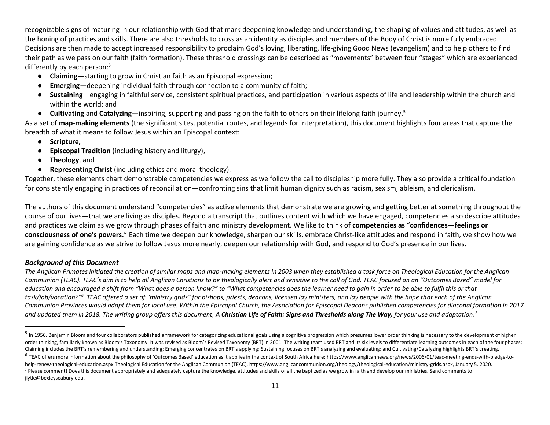recognizable signs of maturing in our relationship with God that mark deepening knowledge and understanding, the shaping of values and attitudes, as well as the honing of practices and skills. There are also thresholds to cross as an identity as disciples and members of the Body of Christ is more fully embraced. Decisions are then made to accept increased responsibility to proclaim God's loving, liberating, life-giving Good News (evangelism) and to help others to find their path as we pass on our faith (faith formation). These threshold crossings can be described as "movements" between four "stages" which are experienced differently by each person:<sup>5</sup>

- **Claiming**—starting to grow in Christian faith as an Episcopal expression;
- **Emerging**—deepening individual faith through connection to a community of faith;
- **Sustaining**—engaging in faithful service, consistent spiritual practices, and participation in various aspects of life and leadership within the church and within the world; and
- **Cultivating** and **Catalyzing**—inspiring, supporting and passing on the faith to others on their lifelong faith journey.<sup>5</sup>

As a set of **map-making elements** (the significant sites, potential routes, and legends for interpretation), this document highlights four areas that capture the breadth of what it means to follow Jesus within an Episcopal context:

- **Scripture,**
- **Episcopal Tradition** (including history and liturgy),
- **Theology**, and
- **Representing Christ** (including ethics and moral theology).

Together, these elements chart demonstrable competencies we express as we follow the call to discipleship more fully. They also provide a critical foundation for consistently engaging in practices of reconciliation—confronting sins that limit human dignity such as racism, sexism, ableism, and clericalism.

The authors of this document understand "competencies" as active elements that demonstrate we are growing and getting better at something throughout the course of our lives—that we are living as disciples. Beyond a transcript that outlines content with which we have engaged, competencies also describe attitudes and practices we claim as we grow through phases of faith and ministry development. We like to think of **competencies as** "**confidences—feelings or consciousness of one's powers.**" Each time we deepen our knowledge, sharpen our skills, embrace Christ-like attitudes and respond in faith, we show how we are gaining confidence as we strive to follow Jesus more nearly, deepen our relationship with God, and respond to God's presence in our lives.

#### *Background of this Document*

l

*The Anglican Primates initiated the creation of similar maps and map-making elements in 2003 when they established a task force on Theological Education for the Anglican Communion (TEAC). TEAC's aim is to help all Anglican Christians to be theologically alert and sensitive to the call of God. TEAC focused on an "Outcomes Based" model for education and encouraged a shift from "What does a person know?" to "What competencies does the learner need to gain in order to be able to fulfil this or that task/job/vocation?"<sup>6</sup> TEAC offered a set of "ministry grids" for bishops, priests, deacons, licensed lay ministers, and lay people with the hope that each of the Anglican Communion Provinces would adapt them for local use. Within the Episcopal Church, the Association for Episcopal Deacons published competencies for diaconal formation in 2017 and updated them in 2018. The writing group offers this document, A Christian Life of Faith: Signs and Thresholds along The Way, for your use and adaptation*. 7

<sup>&</sup>lt;sup>5</sup> In 1956, Benjamin Bloom and four collaborators published a framework for categorizing educational goals using a cognitive progression which presumes lower order thinking is necessary to the development of higher order thinking, familiarly known as Bloom's Taxonomy. It was revised as Bloom's Revised Taxonomy (BRT) in 2001. The writing team used BRT and its six levels to differentiate learning outcomes in each of the four phases: Claiming includes the BRT's remembering and understanding; Emerging concentrates on BRT's applying; Sustaining focuses on BRT's analyzing and evaluating; and Cultivating/Catalyzing highlights BRT's creating.

<sup>&</sup>lt;sup>6</sup> TEAC offers more information about the philosophy of 'Outcomes Based' education as it applies in the context of South Africa here: https://www.anglicannews.org/news/2006/01/teac-meeting-ends-with-pledge-tohelp-renew-theological-education.aspx.Theological Education for the Anglican Communion (TEAC), https://www.anglicancommunion.org/theology/theological-education/ministry-grids.aspx, January 5. 2020. <sup>7</sup> Please comment! Does this document appropriately and adequately capture the knowledge, attitudes and skills of all the baptized as we grow in faith and develop our ministries. Send comments to jlytle@bexleyseabury.edu.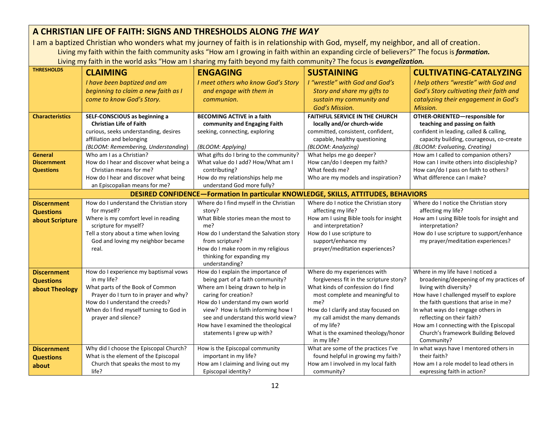### **A CHRISTIAN LIFE OF FAITH: SIGNS AND THRESHOLDS ALONG** *THE WAY*

I am a baptized Christian who wonders what my journey of faith is in relationship with God, myself, my neighbor, and all of creation. Living my faith within the faith community asks "How am I growing in faith within an expanding circle of believers?" The focus is *formation.* Living my faith in the world asks "How am I sharing my faith beyond my faith community? The focus is *evangelization.*

| <b>THRESHOLDS</b>      | <b>CLAIMING</b>                                               | <b>ENGAGING</b>                                                                    | <b>SUSTAINING</b>                                  | <b>CULTIVATING-CATALYZING</b>                                 |
|------------------------|---------------------------------------------------------------|------------------------------------------------------------------------------------|----------------------------------------------------|---------------------------------------------------------------|
|                        | I have been baptized and am                                   | I meet others who know God's Story                                                 | I "wrestle" with God and God's                     | I help others "wrestle" with God and                          |
|                        | beginning to claim a new faith as I                           | and engage with them in                                                            | Story and share my gifts to                        | God's Story cultivating their faith and                       |
|                        | come to know God's Story.                                     | communion.                                                                         | sustain my community and                           | catalyzing their engagement in God's                          |
|                        |                                                               |                                                                                    | God's Mission.                                     | Mission.                                                      |
| <b>Characteristics</b> | SELF-CONSCIOUS as beginning a                                 | <b>BECOMING ACTIVE in a faith</b>                                                  | <b>FAITHFUL SERVICE IN THE CHURCH</b>              | OTHER-ORIENTED-responsible for                                |
|                        | <b>Christian Life of Faith</b>                                | community and Engaging Faith                                                       | locally and/or church-wide                         | teaching and passing on faith                                 |
|                        | curious, seeks understanding, desires                         | seeking, connecting, exploring                                                     | committed, consistent, confident,                  | confident in leading, called & calling,                       |
|                        | affiliation and belonging                                     |                                                                                    | capable, healthy questioning                       | capacity building, courageous, co-create                      |
|                        | (BLOOM: Remembering, Understanding)                           | (BLOOM: Applying)                                                                  | (BLOOM: Analyzing)                                 | (BLOOM: Evaluating, Creating)                                 |
| General                | Who am I as a Christian?                                      | What gifts do I bring to the community?                                            | What helps me go deeper?                           | How am I called to companion others?                          |
| <b>Discernment</b>     | How do I hear and discover what being a                       | What value do I add? How/What am I                                                 | How can/do I deepen my faith?                      | How can I invite others into discipleship?                    |
| <b>Questions</b>       | Christian means for me?                                       | contributing?                                                                      | What feeds me?                                     | How can/do I pass on faith to others?                         |
|                        | How do I hear and discover what being                         | How do my relationships help me                                                    | Who are my models and inspiration?                 | What difference can I make?                                   |
|                        | an Episcopalian means for me?                                 | understand God more fully?                                                         |                                                    |                                                               |
|                        |                                                               | DESIRED CONFIDENCE-Formation In particular KNOWLEDGE, SKILLS, ATTITUDES, BEHAVIORS |                                                    |                                                               |
| <b>Discernment</b>     | How do I understand the Christian story                       | Where do I find myself in the Christian                                            | Where do I notice the Christian story              | Where do I notice the Christian story                         |
| <b>Questions</b>       | for myself?                                                   | story?                                                                             | affecting my life?                                 | affecting my life?                                            |
| about Scripture        | Where is my comfort level in reading<br>scripture for myself? | What Bible stories mean the most to<br>me?                                         | How am I using Bible tools for insight             | How am I using Bible tools for insight and<br>interpretation? |
|                        | Tell a story about a time when loving                         | How do I understand the Salvation story                                            | and interpretation?<br>How do I use scripture to   | How do I use scripture to support/enhance                     |
|                        | God and loving my neighbor became                             | from scripture?                                                                    | support/enhance my                                 | my prayer/meditation experiences?                             |
|                        | real.                                                         | How do I make room in my religious                                                 | prayer/meditation experiences?                     |                                                               |
|                        |                                                               | thinking for expanding my                                                          |                                                    |                                                               |
|                        |                                                               | understanding?                                                                     |                                                    |                                                               |
| <b>Discernment</b>     | How do I experience my baptismal vows                         | How do I explain the importance of                                                 | Where do my experiences with                       | Where in my life have I noticed a                             |
| <b>Questions</b>       | in my life?                                                   | being part of a faith community?                                                   | forgiveness fit in the scripture story?            | broadening/deepening of my practices of                       |
| about Theology         | What parts of the Book of Common                              | Where am I being drawn to help in                                                  | What kinds of confession do I find                 | living with diversity?                                        |
|                        | Prayer do I turn to in prayer and why?                        | caring for creation?                                                               | most complete and meaningful to                    | How have I challenged myself to explore                       |
|                        | How do I understand the creeds?                               | How do I understand my own world                                                   | me?                                                | the faith questions that arise in me?                         |
|                        | When do I find myself turning to God in                       | view? How is faith informing how I                                                 | How do I clarify and stay focused on               | In what ways do I engage others in                            |
|                        | prayer and silence?                                           | see and understand this world view?                                                | my call amidst the many demands                    | reflecting on their faith?                                    |
|                        |                                                               | How have I examined the theological                                                | of my life?                                        | How am I connecting with the Episcopal                        |
|                        |                                                               | statements I grew up with?                                                         | What is the examined theology/honor                | Church's framework Building Beloved                           |
|                        | Why did I choose the Episcopal Church?                        |                                                                                    | in my life?<br>What are some of the practices I've | Community?<br>In what ways have I mentored others in          |
| <b>Discernment</b>     | What is the element of the Episcopal                          | How is the Episcopal community<br>important in my life?                            | found helpful in growing my faith?                 | their faith?                                                  |
| <b>Questions</b>       | Church that speaks the most to my                             | How am I claiming and living out my                                                | How am I involved in my local faith                | How am I a role model to lead others in                       |
| about                  | life?                                                         | Episcopal identity?                                                                | community?                                         | expressing faith in action?                                   |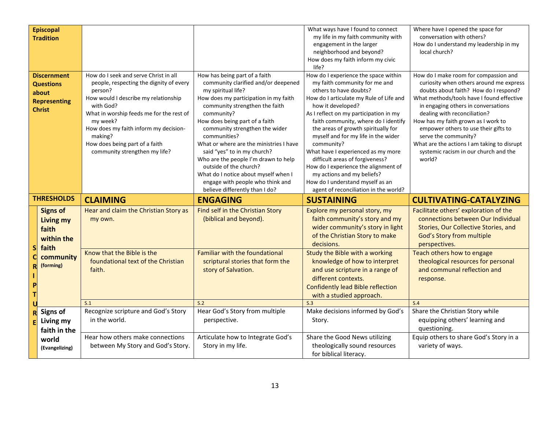|   | <b>Episcopal</b><br><b>Tradition</b>                                                    |                                                                                                                                                                                                                                                                                                                                 |                                                                                                                                                                                                                                                                                                                                                                                                                                                                                                                                   | What ways have I found to connect<br>my life in my faith community with<br>engagement in the larger<br>neighborhood and beyond?<br>How does my faith inform my civic<br>life?                                                                                                                                                                                                                                                                                                                                                                                             | Where have I opened the space for<br>conversation with others?<br>How do I understand my leadership in my<br>local church?                                                                                                                                                                                                                                                                                                                             |
|---|-----------------------------------------------------------------------------------------|---------------------------------------------------------------------------------------------------------------------------------------------------------------------------------------------------------------------------------------------------------------------------------------------------------------------------------|-----------------------------------------------------------------------------------------------------------------------------------------------------------------------------------------------------------------------------------------------------------------------------------------------------------------------------------------------------------------------------------------------------------------------------------------------------------------------------------------------------------------------------------|---------------------------------------------------------------------------------------------------------------------------------------------------------------------------------------------------------------------------------------------------------------------------------------------------------------------------------------------------------------------------------------------------------------------------------------------------------------------------------------------------------------------------------------------------------------------------|--------------------------------------------------------------------------------------------------------------------------------------------------------------------------------------------------------------------------------------------------------------------------------------------------------------------------------------------------------------------------------------------------------------------------------------------------------|
|   | <b>Discernment</b><br><b>Questions</b><br>about<br><b>Representing</b><br><b>Christ</b> | How do I seek and serve Christ in all<br>people, respecting the dignity of every<br>person?<br>How would I describe my relationship<br>with God?<br>What in worship feeds me for the rest of<br>my week?<br>How does my faith inform my decision-<br>making?<br>How does being part of a faith<br>community strengthen my life? | How has being part of a faith<br>community clarified and/or deepened<br>my spiritual life?<br>How does my participation in my faith<br>community strengthen the faith<br>community?<br>How does being part of a faith<br>community strengthen the wider<br>communities?<br>What or where are the ministries I have<br>said "yes" to in my church?<br>Who are the people I'm drawn to help<br>outside of the church?<br>What do I notice about myself when I<br>engage with people who think and<br>believe differently than I do? | How do I experience the space within<br>my faith community for me and<br>others to have doubts?<br>How do I articulate my Rule of Life and<br>how it developed?<br>As I reflect on my participation in my<br>faith community, where do I identify<br>the areas of growth spiritually for<br>myself and for my life in the wider<br>community?<br>What have I experienced as my more<br>difficult areas of forgiveness?<br>How do I experience the alignment of<br>my actions and my beliefs?<br>How do I understand myself as an<br>agent of reconciliation in the world? | How do I make room for compassion and<br>curiosity when others around me express<br>doubts about faith? How do I respond?<br>What methods/tools have I found effective<br>in engaging others in conversations<br>dealing with reconciliation?<br>How has my faith grown as I work to<br>empower others to use their gifts to<br>serve the community?<br>What are the actions I am taking to disrupt<br>systemic racism in our church and the<br>world? |
|   |                                                                                         |                                                                                                                                                                                                                                                                                                                                 |                                                                                                                                                                                                                                                                                                                                                                                                                                                                                                                                   |                                                                                                                                                                                                                                                                                                                                                                                                                                                                                                                                                                           |                                                                                                                                                                                                                                                                                                                                                                                                                                                        |
|   | <b>THRESHOLDS</b>                                                                       | <b>CLAIMING</b>                                                                                                                                                                                                                                                                                                                 | <b>ENGAGING</b>                                                                                                                                                                                                                                                                                                                                                                                                                                                                                                                   | <b>SUSTAINING</b>                                                                                                                                                                                                                                                                                                                                                                                                                                                                                                                                                         | <b>CULTIVATING-CATALYZING</b>                                                                                                                                                                                                                                                                                                                                                                                                                          |
| S | <b>Signs of</b><br>Living my<br>faith<br>within the<br>faith<br>community               | Hear and claim the Christian Story as<br>my own.<br>Know that the Bible is the                                                                                                                                                                                                                                                  | Find self in the Christian Story<br>(biblical and beyond).<br><b>Familiar with the foundational</b>                                                                                                                                                                                                                                                                                                                                                                                                                               | Explore my personal story, my<br>faith community's story and my<br>wider community's story in light<br>of the Christian Story to make<br>decisions.<br>Study the Bible with a working                                                                                                                                                                                                                                                                                                                                                                                     | Facilitate others' exploration of the<br>connections between Our Individual<br>Stories, Our Collective Stories, and<br>God's Story from multiple<br>perspectives.<br>Teach others how to engage                                                                                                                                                                                                                                                        |
|   | (forming)                                                                               | foundational text of the Christian<br>faith.                                                                                                                                                                                                                                                                                    | scriptural stories that form the<br>story of Salvation.                                                                                                                                                                                                                                                                                                                                                                                                                                                                           | knowledge of how to interpret<br>and use scripture in a range of<br>different contexts.<br><b>Confidently lead Bible reflection</b><br>with a studied approach.                                                                                                                                                                                                                                                                                                                                                                                                           | theological resources for personal<br>and communal reflection and<br>response.                                                                                                                                                                                                                                                                                                                                                                         |
|   |                                                                                         | S.1                                                                                                                                                                                                                                                                                                                             | S.2                                                                                                                                                                                                                                                                                                                                                                                                                                                                                                                               | S.3                                                                                                                                                                                                                                                                                                                                                                                                                                                                                                                                                                       | S.4                                                                                                                                                                                                                                                                                                                                                                                                                                                    |
|   | Signs of<br>Living my<br>faith in the                                                   | Recognize scripture and God's Story<br>in the world.<br>Hear how others make connections                                                                                                                                                                                                                                        | Hear God's Story from multiple<br>perspective.<br>Articulate how to Integrate God's                                                                                                                                                                                                                                                                                                                                                                                                                                               | Make decisions informed by God's<br>Story.<br>Share the Good News utilizing                                                                                                                                                                                                                                                                                                                                                                                                                                                                                               | Share the Christian Story while<br>equipping others' learning and<br>questioning.<br>Equip others to share God's Story in a                                                                                                                                                                                                                                                                                                                            |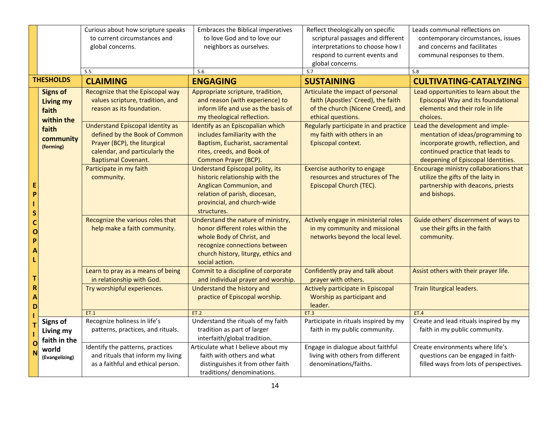|                                                |                                                            | Curious about how scripture speaks<br>to current circumstances and<br>global concerns.<br>S.5                                                                            | Embraces the Biblical imperatives<br>to love God and to love our<br>neighbors as ourselves.<br>S.6                                                                                            | Reflect theologically on specific<br>scriptural passages and different<br>interpretations to choose how I<br>respond to current events and<br>global concerns.<br>S.7 | Leads communal reflections on<br>contemporary circumstances, issues<br>and concerns and facilitates<br>communal responses to them.<br>S.8                                             |
|------------------------------------------------|------------------------------------------------------------|--------------------------------------------------------------------------------------------------------------------------------------------------------------------------|-----------------------------------------------------------------------------------------------------------------------------------------------------------------------------------------------|-----------------------------------------------------------------------------------------------------------------------------------------------------------------------|---------------------------------------------------------------------------------------------------------------------------------------------------------------------------------------|
|                                                | <b>THESHOLDS</b>                                           | <b>CLAIMING</b>                                                                                                                                                          | <b>ENGAGING</b>                                                                                                                                                                               | <b>SUSTAINING</b>                                                                                                                                                     | <b>CULTIVATING-CATALYZING</b>                                                                                                                                                         |
|                                                | <b>Signs of</b><br><b>Living my</b><br>faith<br>within the | Recognize that the Episcopal way<br>values scripture, tradition, and<br>reason as its foundation.                                                                        | Appropriate scripture, tradition,<br>and reason (with experience) to<br>inform life and use as the basis of<br>my theological reflection.                                                     | Articulate the impact of personal<br>faith (Apostles' Creed), the faith<br>of the church (Nicene Creed), and<br>ethical questions.                                    | Lead opportunities to learn about the<br><b>Episcopal Way and its foundational</b><br>elements and their role in life<br>choices.                                                     |
| E<br>P<br>S<br>C<br>Ó<br>P<br>A<br>т<br>R<br>Α | faith<br>community<br>(forming)                            | <b>Understand Episcopal identity as</b><br>defined by the Book of Common<br>Prayer (BCP), the liturgical<br>calendar, and particularly the<br><b>Baptismal Covenant.</b> | Identify as an Episcopalian which<br>includes familiarity with the<br>Baptism, Eucharist, sacramental<br>rites, creeds, and Book of<br>Common Prayer (BCP).                                   | Regularly participate in and practice<br>my faith with others in an<br>Episcopal context.                                                                             | Lead the development and imple-<br>mentation of ideas/programming to<br>incorporate growth, reflection, and<br>continued practice that leads to<br>deepening of Episcopal Identities. |
|                                                |                                                            | Participate in my faith<br>community.                                                                                                                                    | <b>Understand Episcopal polity, its</b><br>historic relationship with the<br>Anglican Communion, and<br>relation of parish, diocesan,<br>provincial, and church-wide<br>structures.           | Exercise authority to engage<br>resources and structures of The<br>Episcopal Church (TEC).                                                                            | Encourage ministry collaborations that<br>utilize the gifts of the laity in<br>partnership with deacons, priests<br>and bishops.                                                      |
|                                                |                                                            | Recognize the various roles that<br>help make a faith community.                                                                                                         | Understand the nature of ministry,<br>honor different roles within the<br>whole Body of Christ, and<br>recognize connections between<br>church history, liturgy, ethics and<br>social action. | Actively engage in ministerial roles<br>in my community and missional<br>networks beyond the local level.                                                             | Guide others' discernment of ways to<br>use their gifts in the faith<br>community.                                                                                                    |
|                                                |                                                            | Learn to pray as a means of being<br>in relationship with God.<br>Try worshipful experiences.                                                                            | Commit to a discipline of corporate<br>and individual prayer and worship.<br>Understand the history and<br>practice of Episcopal worship.                                                     | Confidently pray and talk about<br>prayer with others.<br>Actively participate in Episcopal<br>Worship as participant and<br>leader.                                  | Assist others with their prayer life.<br>Train liturgical leaders.                                                                                                                    |
| D                                              |                                                            | ET.1                                                                                                                                                                     | ET.2                                                                                                                                                                                          | ET.3                                                                                                                                                                  | <b>ET.4</b>                                                                                                                                                                           |
| Ť                                              | <b>Signs of</b><br>Living my<br>faith in the               | Recognize holiness in life's<br>patterns, practices, and rituals.                                                                                                        | Understand the rituals of my faith<br>tradition as part of larger<br>interfaith/global tradition.                                                                                             | Participate in rituals inspired by my<br>faith in my public community.                                                                                                | Create and lead rituals inspired by my<br>faith in my public community.                                                                                                               |
| O<br>Ν                                         | world<br>(Evangelizing)                                    | Identify the patterns, practices<br>and rituals that inform my living<br>as a faithful and ethical person.                                                               | Articulate what I believe about my<br>faith with others and what<br>distinguishes it from other faith<br>traditions/ denominations.                                                           | Engage in dialogue about faithful<br>living with others from different<br>denominations/faiths.                                                                       | Create environments where life's<br>questions can be engaged in faith-<br>filled ways from lots of perspectives.                                                                      |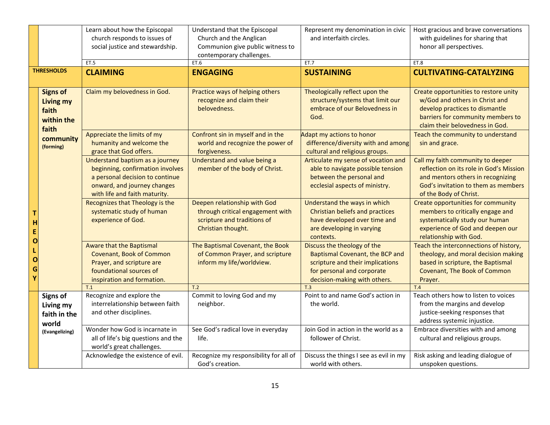|                            |                                                                     | Learn about how the Episcopal<br>church responds to issues of<br>social justice and stewardship.                                                                       | Understand that the Episcopal<br>Church and the Anglican<br>Communion give public witness to                          | Represent my denomination in civic<br>and interfaith circles.                                                                                                    | Host gracious and brave conversations<br>with guidelines for sharing that<br>honor all perspectives.                                                                               |
|----------------------------|---------------------------------------------------------------------|------------------------------------------------------------------------------------------------------------------------------------------------------------------------|-----------------------------------------------------------------------------------------------------------------------|------------------------------------------------------------------------------------------------------------------------------------------------------------------|------------------------------------------------------------------------------------------------------------------------------------------------------------------------------------|
|                            | <b>THRESHOLDS</b>                                                   | ET.5<br><b>CLAIMING</b>                                                                                                                                                | contemporary challenges.<br>ET.6<br><b>ENGAGING</b>                                                                   | ET.7<br><b>SUSTAINING</b>                                                                                                                                        | ET.8<br><b>CULTIVATING-CATALYZING</b>                                                                                                                                              |
|                            |                                                                     |                                                                                                                                                                        |                                                                                                                       |                                                                                                                                                                  |                                                                                                                                                                                    |
|                            | <b>Signs of</b><br><b>Living my</b><br>faith<br>within the<br>faith | Claim my belovedness in God.                                                                                                                                           | Practice ways of helping others<br>recognize and claim their<br>belovedness.                                          | Theologically reflect upon the<br>structure/systems that limit our<br>embrace of our Belovedness in<br>God.                                                      | Create opportunities to restore unity<br>w/God and others in Christ and<br>develop practices to dismantle<br>barriers for community members to<br>claim their belovedness in God.  |
|                            | community<br>(forming)                                              | Appreciate the limits of my<br>humanity and welcome the<br>grace that God offers.                                                                                      | Confront sin in myself and in the<br>world and recognize the power of<br>forgiveness.                                 | Adapt my actions to honor<br>difference/diversity with and among<br>cultural and religious groups.                                                               | Teach the community to understand<br>sin and grace.                                                                                                                                |
|                            |                                                                     | Understand baptism as a journey<br>beginning, confirmation involves<br>a personal decision to continue<br>onward, and journey changes<br>with life and faith maturity. | Understand and value being a<br>member of the body of Christ.                                                         | Articulate my sense of vocation and<br>able to navigate possible tension<br>between the personal and<br>ecclesial aspects of ministry.                           | Call my faith community to deeper<br>reflection on its role in God's Mission<br>and mentors others in recognizing<br>God's invitation to them as members<br>of the Body of Christ. |
| н<br>E<br>O<br>O<br>G<br>Y |                                                                     | Recognizes that Theology is the<br>systematic study of human<br>experience of God.                                                                                     | Deepen relationship with God<br>through critical engagement with<br>scripture and traditions of<br>Christian thought. | Understand the ways in which<br><b>Christian beliefs and practices</b><br>have developed over time and<br>are developing in varying<br>contexts.                 | Create opportunities for community<br>members to critically engage and<br>systematically study our human<br>experience of God and deepen our<br>relationship with God.             |
|                            |                                                                     | <b>Aware that the Baptismal</b><br>Covenant, Book of Common<br>Prayer, and scripture are<br>foundational sources of<br>inspiration and formation.                      | The Baptismal Covenant, the Book<br>of Common Prayer, and scripture<br>inform my life/worldview.                      | Discuss the theology of the<br>Baptismal Covenant, the BCP and<br>scripture and their implications<br>for personal and corporate<br>decision-making with others. | Teach the interconnections of history,<br>theology, and moral decision making<br>based in scripture, the Baptismal<br><b>Covenant, The Book of Common</b><br>Prayer.               |
|                            |                                                                     | T.1                                                                                                                                                                    | T.2                                                                                                                   | T.3<br>Point to and name God's action in                                                                                                                         | T.4                                                                                                                                                                                |
|                            | <b>Signs of</b><br>Living my<br>faith in the<br>world               | Recognize and explore the<br>interrelationship between faith<br>and other disciplines.                                                                                 | Commit to loving God and my<br>neighbor.                                                                              | the world.                                                                                                                                                       | Teach others how to listen to voices<br>from the margins and develop<br>justice-seeking responses that<br>address systemic injustice.                                              |
|                            | (Evangelizing)                                                      | Wonder how God is incarnate in<br>all of life's big questions and the<br>world's great challenges.                                                                     | See God's radical love in everyday<br>life.                                                                           | Join God in action in the world as a<br>follower of Christ.                                                                                                      | Embrace diversities with and among<br>cultural and religious groups.                                                                                                               |
|                            |                                                                     | Acknowledge the existence of evil.                                                                                                                                     | Recognize my responsibility for all of<br>God's creation.                                                             | Discuss the things I see as evil in my<br>world with others.                                                                                                     | Risk asking and leading dialogue of<br>unspoken questions.                                                                                                                         |